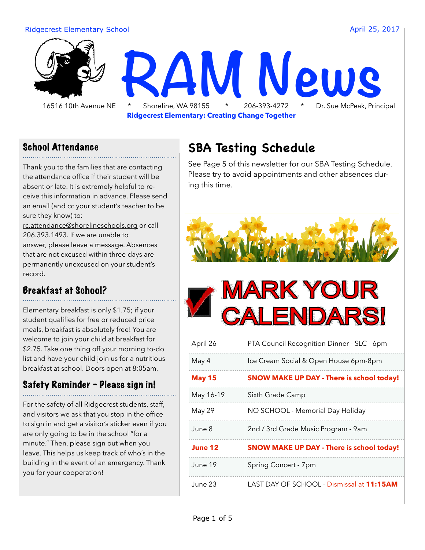#### Ridgecrest Elementary School **April 25, 2017 April 25, 2017**



**Ridgecrest Elementary: Creating Change Together**

#### School Attendance

Thank you to the families that are contacting the attendance office if their student will be absent or late. It is extremely helpful to receive this information in advance. Please send an email (and cc your student's teacher to be sure they know) to: [rc.attendance@shorelineschools.org](mailto:rc.attendance@shorelineschools.org) or call

206.393.1493. If we are unable to answer, please leave a message. Absences that are not excused within three days are permanently unexcused on your student's record.

#### Breakfast at School?

Elementary breakfast is only \$1.75; if your student qualifies for free or reduced price meals, breakfast is absolutely free! You are welcome to join your child at breakfast for \$2.75. Take one thing off your morning to-do list and have your child join us for a nutritious breakfast at school. Doors open at 8:05am.

#### Safety Reminder - Please sign in!

For the safety of all Ridgecrest students, staff, and visitors we ask that you stop in the office to sign in and get a visitor's sticker even if you are only going to be in the school "for a minute." Then, please sign out when you leave. This helps us keep track of who's in the building in the event of an emergency. Thank you for your cooperation!

#### **SBA Testing Schedule**

See Page 5 of this newsletter for our SBA Testing Schedule. Please try to avoid appointments and other absences during this time.





| April 26      | PTA Council Recognition Dinner - SLC - 6pm       |  |  |
|---------------|--------------------------------------------------|--|--|
| May 4         | Ice Cream Social & Open House 6pm-8pm            |  |  |
| <b>May 15</b> | <b>SNOW MAKE UP DAY - There is school today!</b> |  |  |
| May 16-19     | Sixth Grade Camp                                 |  |  |
| May 29        | NO SCHOOL - Memorial Day Holiday                 |  |  |
| June 8        | 2nd / 3rd Grade Music Program - 9am              |  |  |
| June 12       | <b>SNOW MAKE UP DAY - There is school today!</b> |  |  |
| June 19       | Spring Concert - 7pm                             |  |  |
| June 23       | LAST DAY OF SCHOOL - Dismissal at 11:15AM        |  |  |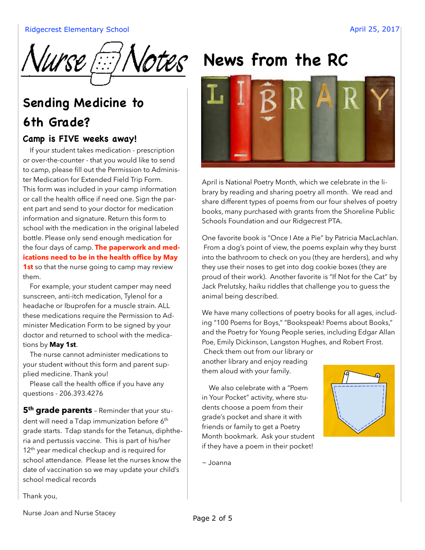

## **Sending Medicine to 6th Grade?**

#### **Camp is FIVE weeks away!**

 If your student takes medication - prescription or over-the-counter - that you would like to send to camp, please fill out the Permission to Administer Medication for Extended Field Trip Form. This form was included in your camp information or call the health office if need one. Sign the parent part and send to your doctor for medication information and signature. Return this form to school with the medication in the original labeled bottle. Please only send enough medication for the four days of camp. **The paperwork and medications need to be in the health office by May 1st** so that the nurse going to camp may review them.

 For example, your student camper may need sunscreen, anti-itch medication, Tylenol for a headache or Ibuprofen for a muscle strain. ALL these medications require the Permission to Administer Medication Form to be signed by your doctor and returned to school with the medications by **May 1st**.

 The nurse cannot administer medications to your student without this form and parent supplied medicine. Thank you!

Please call the health office if you have any questions - 206.393.4276

**5<sup>th</sup> grade parents** - Reminder that your student will need a Tdap immunization before 6<sup>th</sup> grade starts. Tdap stands for the Tetanus, diphtheria and pertussis vaccine. This is part of his/her 12<sup>th</sup> year medical checkup and is required for school attendance. Please let the nurses know the date of vaccination so we may update your child's school medical records

Thank you,

# **Votes** News from the RC



April is National Poetry Month, which we celebrate in the library by reading and sharing poetry all month. We read and share different types of poems from our four shelves of poetry books, many purchased with grants from the Shoreline Public Schools Foundation and our Ridgecrest PTA.

One favorite book is "Once I Ate a Pie" by Patricia MacLachlan. From a dog's point of view, the poems explain why they burst into the bathroom to check on you (they are herders), and why they use their noses to get into dog cookie boxes (they are proud of their work). Another favorite is "If Not for the Cat" by Jack Prelutsky, haiku riddles that challenge you to guess the animal being described.

We have many collections of poetry books for all ages, including "100 Poems for Boys," "Bookspeak! Poems about Books," and the Poetry for Young People series, including Edgar Allan Poe, Emily Dickinson, Langston Hughes, and Robert Frost.

Check them out from our library or another library and enjoy reading them aloud with your family.

 We also celebrate with a "Poem in Your Pocket" activity, where students choose a poem from their grade's pocket and share it with friends or family to get a Poetry Month bookmark. Ask your student if they have a poem in their pocket!



~ Joanna

Nurse Joan and Nurse Stacey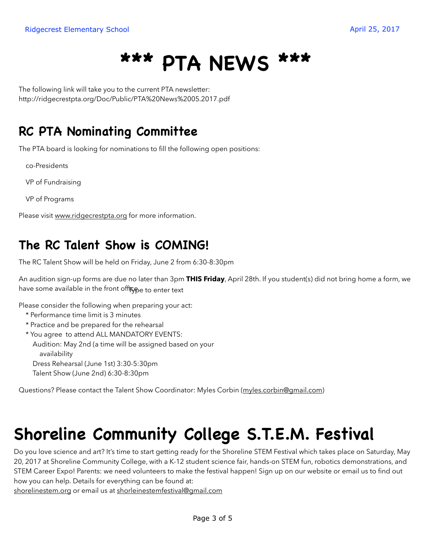# **\*\*\* PTA NEWS \*\*\***

The following link will take you to the current PTA newsletter: http://ridgecrestpta.org/Doc/Public/PTA%20News%2005.2017.pdf

#### **RC PTA Nominating Committee**

The PTA board is looking for nominations to fill the following open positions:

co-Presidents

VP of Fundraising

VP of Programs

Please visit [www.ridgecrestpta.org](http://www.ridgecrestpta.org) for more information.

#### **The RC Talent Show is COMING!**

The RC Talent Show will be held on Friday, June 2 from 6:30-8:30pm

An audition sign-up forms are due no later than 3pm **THIS Friday**, April 28th. If you student(s) did not bring home a form, we have some available in the front of<del>fiç<sub>pe to enter text</del></del></sub>

Please consider the following when preparing your act:

- \* Performance time limit is 3 minutes
- \* Practice and be prepared for the rehearsal

 \* You agree to attend ALL MANDATORY EVENTS: Audition: May 2nd (a time will be assigned based on your availability Dress Rehearsal (June 1st) 3:30-5:30pm

Talent Show (June 2nd) 6:30-8:30pm

Questions? Please contact the Talent Show Coordinator: Myles Corbin [\(myles.corbin@gmail.com\)](mailto:myles.corbin@gmail.com)

# **Shoreline Community College S.T.E.M. Festival**

Do you love science and art? It's time to start getting ready for the Shoreline STEM Festival which takes place on Saturday, May 20, 2017 at Shoreline Community College, with a K-12 student science fair, hands-on STEM fun, robotics demonstrations, and STEM Career Expo! Parents: we need volunteers to make the festival happen! Sign up on our website or email us to find out how you can help. Details for everything can be found at:

[shorelinestem.org](http://shorelinestem.org) or email us at [shorleinestemfestival@gmail.com](mailto:shorleinestemfestival@gmail.com)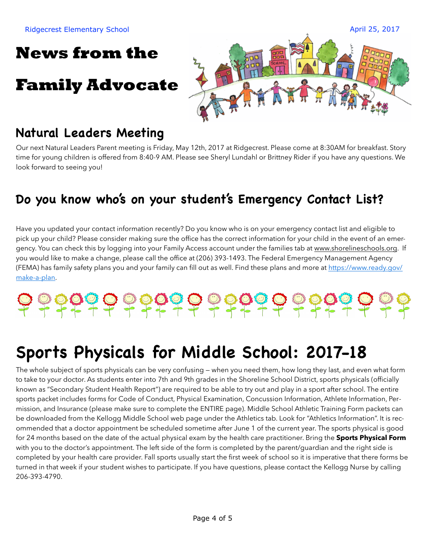## **News from the**

## **Family Advocate**



## **Natural Leaders Meeting**

Our next Natural Leaders Parent meeting is Friday, May 12th, 2017 at Ridgecrest. Please come at 8:30AM for breakfast. Story time for young children is offered from 8:40-9 AM. Please see Sheryl Lundahl or Brittney Rider if you have any questions. We look forward to seeing you!

#### **Do you know who's on your student's Emergency Contact List?**

Have you updated your contact information recently? Do you know who is on your emergency contact list and eligible to pick up your child? Please consider making sure the office has the correct information for your child in the event of an emergency. You can check this by logging into your Family Access account under the families tab at [www.shorelineschools.org.](http://www.shorelineschools.org) If you would like to make a change, please call the office at (206) 393-1493. The Federal Emergency Management Agency (FEMA) has family safety plans you and your family can fill out as well. Find these plans and more at [https://www.ready.gov/](https://www.ready.gov/make-a-plan) [make-a-plan.](https://www.ready.gov/make-a-plan)

# 

# **Sports Physicals for Middle School: 2017-18**

The whole subject of sports physicals can be very confusing — when you need them, how long they last, and even what form to take to your doctor. As students enter into 7th and 9th grades in the Shoreline School District, sports physicals (officially known as "Secondary Student Health Report") are required to be able to try out and play in a sport after school. The entire sports packet includes forms for Code of Conduct, Physical Examination, Concussion Information, Athlete Information, Permission, and Insurance (please make sure to complete the ENTIRE page). Middle School Athletic Training Form packets can be downloaded from the Kellogg Middle School web page under the Athletics tab. Look for "Athletics Information". It is recommended that a doctor appointment be scheduled sometime after June 1 of the current year. The sports physical is good for 24 months based on the date of the actual physical exam by the health care practitioner. Bring the **Sports Physical Form** with you to the doctor's appointment. The left side of the form is completed by the parent/guardian and the right side is completed by your health care provider. Fall sports usually start the first week of school so it is imperative that there forms be turned in that week if your student wishes to participate. If you have questions, please contact the Kellogg Nurse by calling 206-393-4790.